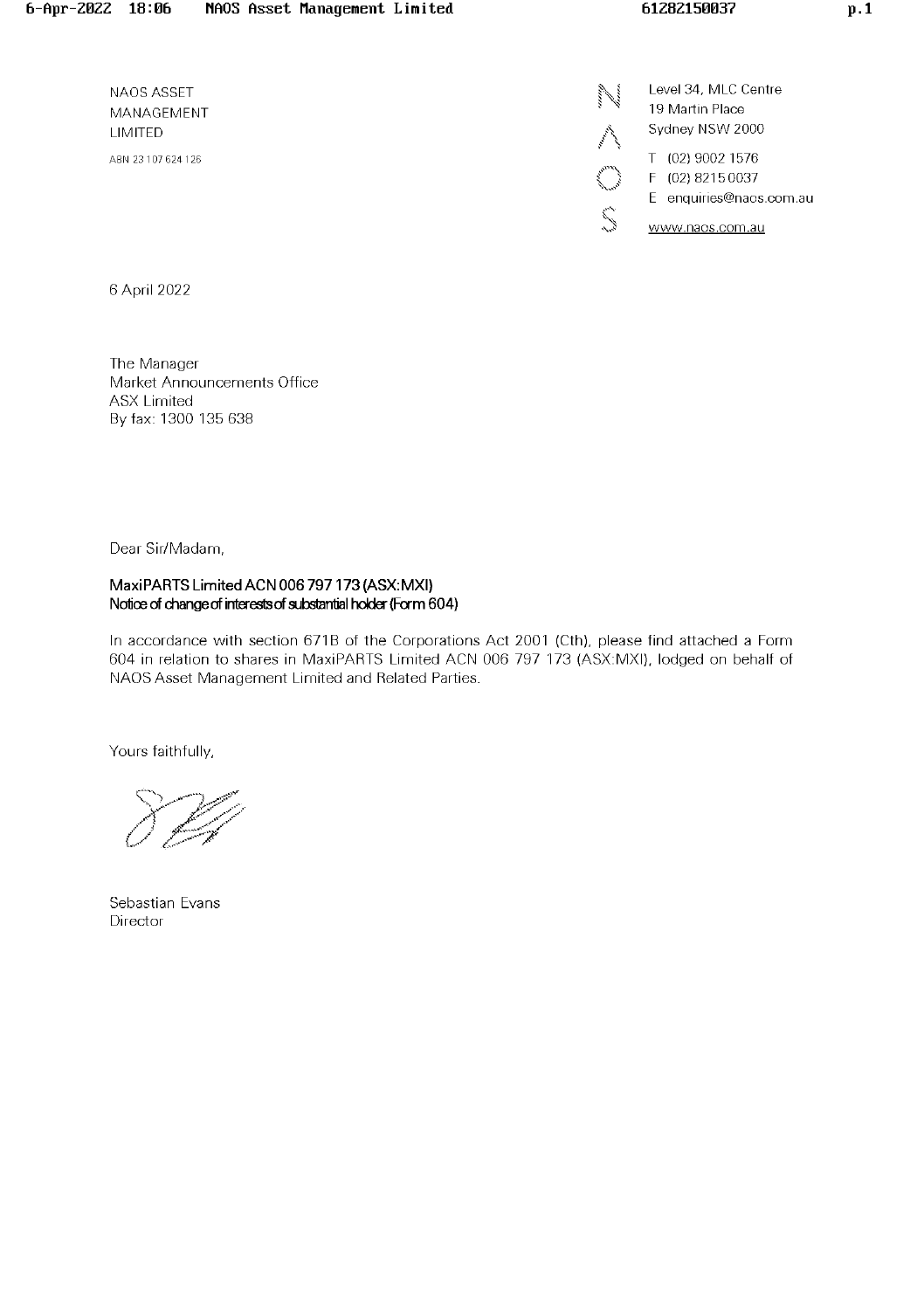NAOS ASSET MANAGEMENT UMITED AEN 23 107 624126

Level 34, MLC Centre 19 Martin Place Sydney NSW 2000 T (02) 90021576 F (02) 82150037 E enquiries@naos.com.au  $\sum_{n=1}^{\infty}$  www.naos.com.au

6 April 2022

The Manager Market Announcements Office **ASX Limited** By fax: 1300 136 638

Dear Sir/Madam,

### MaxiPARTS Limited ACN 006 797 173 (ASX:MXI) Notice of change of interests of substantial holder (Form 604)

In accordance with section 671B of the Corporations Act 2001 (Cth), please find attached a Form 604 in relation to shares in MaxiPARTS Limited ACN 006 797 173 (ASX:MXI), lodged on behalf of NAOS Asset Management Limited and Related Parties.

Yours faithfully,

Sebastian Evans Director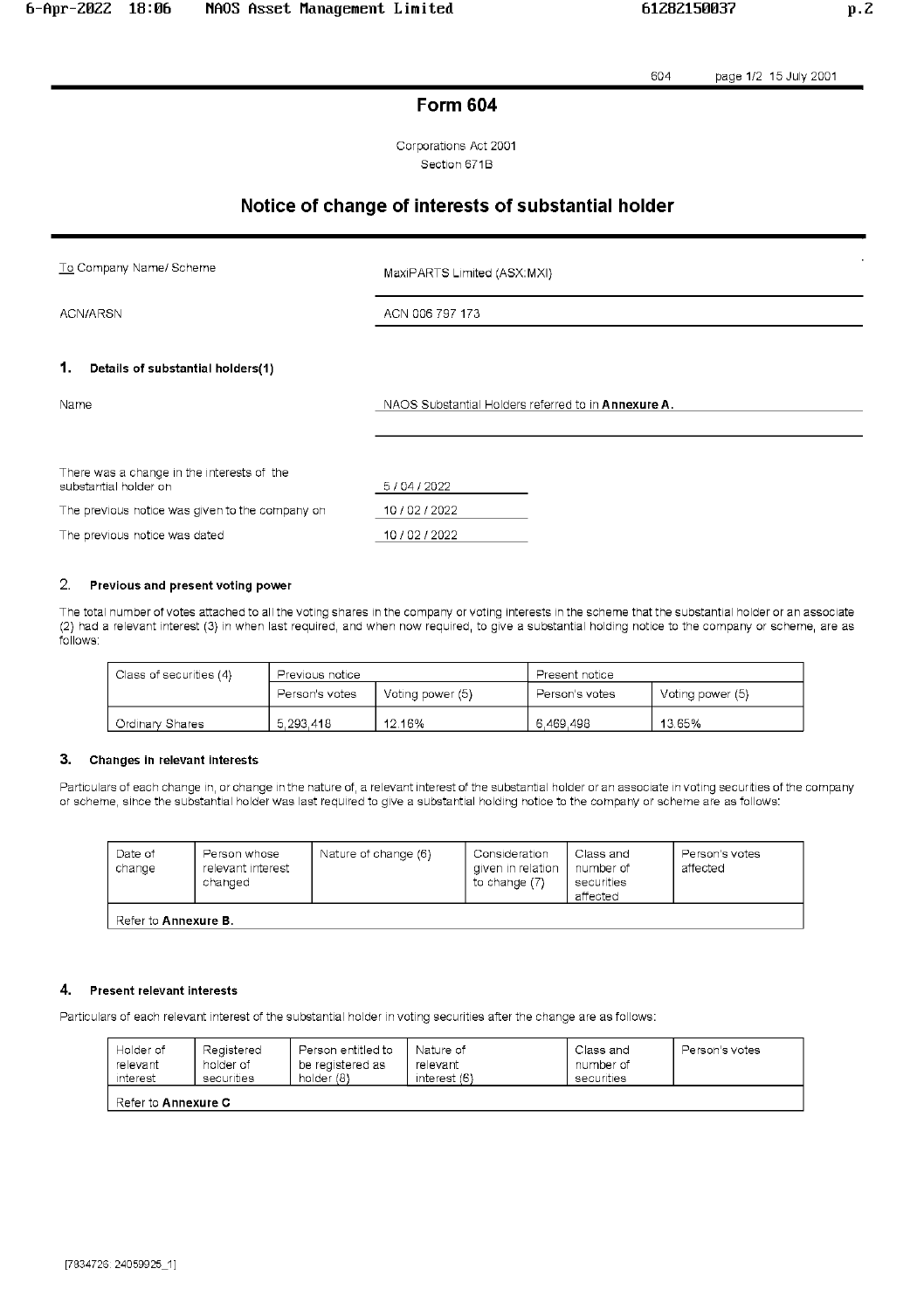604 page 1/2 15 July 2001

# **Form 604**

Corporations Act 2001 Section 671B

# Notice of change of interests of substantial holder

To Company Name/ Scheme

MaxiPARTS Limited (ASX:MXI)

ACN/ARSN

ACN 006 797 173

#### 1. Details of substantial holders(1)

NAOS Substantial Holders referred to in Annexure A.

| There was a change in the interests of the<br>substantial holder on | 5/04/2022  |  |
|---------------------------------------------------------------------|------------|--|
| The previous notice was given to the company on                     | 10/02/2022 |  |
| The previous notice was dated                                       | 10/02/2022 |  |

#### 2. Previous and present voting power

The total number of votes attached to all the voting shares in the company or voting interests in the scheme that the substantial holder or an associate (2) had a relevant interest (3) in when last required, and when now required, to give a substantial holding notice to the company or scheme, are as follows:

| Class of securities (4) | Previous notice                    |        | Present notice |                  |
|-------------------------|------------------------------------|--------|----------------|------------------|
|                         | Person's votes<br>Voting power (5) |        | Person's votes | Voting power (5) |
| <b>Ordinary Shares</b>  | 5.293 418                          | 12.16% | 6.469.498      | 13.65%           |

#### 3. Changes in relevant interests

Particulars of each change in, or change in the nature of, a relevant interest of the substantial holder or an associate in voting securities of the company or scheme, since the substantial holder was last required to give a substantial holding notice to the company or scheme are as follows:

| Date of<br>change           | Person whose<br>relevant interest<br>changed | Nature of change (6) | Consideration<br>given in relation<br>to change (7) | Class and<br>number of<br>securities<br>affected | Person's votes<br>affected |
|-----------------------------|----------------------------------------------|----------------------|-----------------------------------------------------|--------------------------------------------------|----------------------------|
| Refer to <b>Annexure B.</b> |                                              |                      |                                                     |                                                  |                            |

#### 4. **Present relevant interests**

Particulars of each relevant interest of the substantial holder in voting securities after the change are as follows:

| Holder of                  | Registered | Person entitled to | Nature of    | Class and  | Person's votes |
|----------------------------|------------|--------------------|--------------|------------|----------------|
| relevant                   | holder of  | be registered as   | relevant     | number of  |                |
| interest                   | securities | holder (8)         | interest (6) | securities |                |
| Refer to <b>Annexure C</b> |            |                    |              |            |                |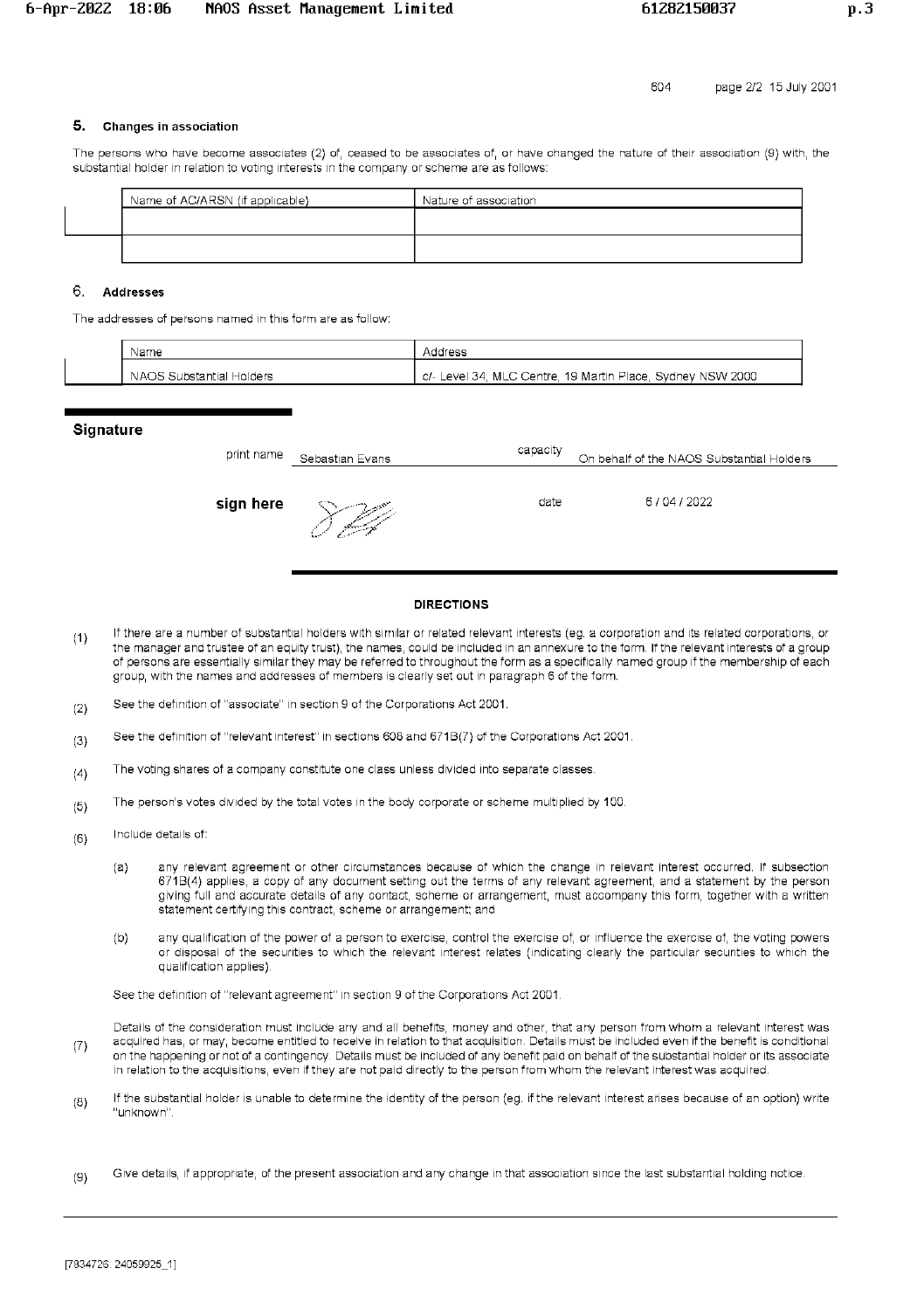## 5. Changes in association

The persons who have become associates (2) of, ceased to be associates of, or have changed the nature of their association (9) with, the substantial holder in relation to voting interests in the company or scheme are as follows:

| Name of AC/ARSN (if applicable) | Nature of association |
|---------------------------------|-----------------------|
|                                 |                       |
|                                 |                       |
|                                 |                       |

## 6. Addresses

The addresses of persons named in this form are as follow:

| Name                              | . ರತಳ                                                                     |
|-----------------------------------|---------------------------------------------------------------------------|
| Holders<br>; Substantial<br>NAOS. | Svdney NSW 2000<br>Place.<br>MLC Centre, 19 Martin<br>C/-<br>Level<br>-34 |

#### **Signature**

| print name | Sebastian Evans | capacity | On behalf of the NAOS Substantial Holders |
|------------|-----------------|----------|-------------------------------------------|
| sign here  | بركيبكر         | date     | 6/04/2022                                 |

#### **DIRECTIONS**

- If there are a number of substantial holders with similar or related relevant interests (eg. a corporation and its related corporations, or  $(1)$ the manager and trustee of an equity trust), the names, could be included in an annexure to the form. If the relevant interests of a group of persons are essentially similar they may be referred to throughout the form as a specifically named group if the membership of each group, with the names and addresses of members is clearly set out in paragraph 6 of the form.
- See the definition of "associate" in section 9 of the Corporations Act 2001.  $(2)$
- See the definition of "relevant interest" in sections 608 and 671B(7) of the Corporations Act 2001.  $(3)$
- The voting shares of a company constitute one class unless divided into separate classes.  $(4)$
- The person's votes divided by the total votes in the body corporate or scheme multiplied by 100.  $(5)$
- Include details of:  $(6)$ 
	- any relevant agreement or other circumstances because of which the change in relevant interest occurred. If subsection  $(a)$ 671B(4) applies, a copy of any document setting out the terms of any relevant agreement, and a statement by the person giving full and accurate details of any contact, scheme or arrangement, must accompany this form, together with a written statement certifying this contract, scheme or arrangement; and
	- any qualification of the power of a person to exercise, control the exercise of, or influence the exercise of, the voting powers  $(b)$ or disposal of the securities to which the relevant interest relates (indicating clearly the particular securities to which the qualification applies).

See the definition of "relevant agreement" in section 9 of the Corporations Act 2001.

Details of the consideration must include any and all benefits, money and other, that any person from whom a relevant interest was acquired has, or may, become entitled to receive in relation to that acquisition. Details must be included even if the benefit is conditional  $(7)$ on the happening or not of a contingency. Details must be included of any benefit paid on behalf of the substantial holder or its associate in relation to the acquisitions, even if they are not paid directly to the person from whom the relevant interest was acquired.

- If the substantial holder is unable to determine the identity of the person (eg. if the relevant interest arises because of an option) write  $(8)$ "unknown"
- Give details, if appropriate, of the present association and any change in that association since the last substantial holding notice.  $(9)$